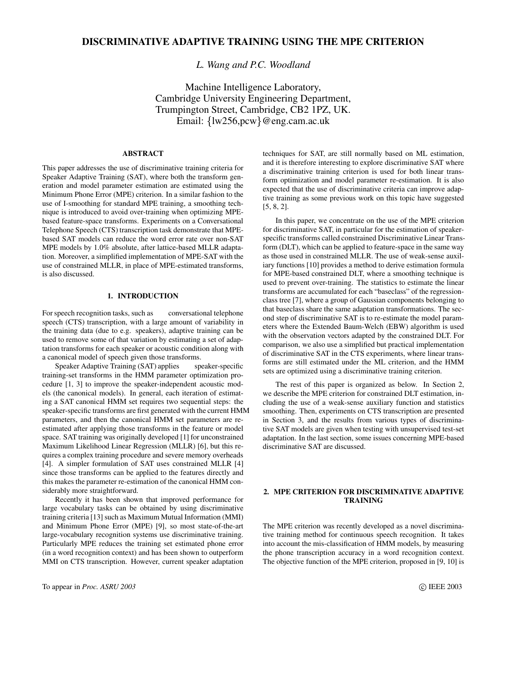# **DISCRIMINATIVE ADAPTIVE TRAINING USING THE MPE CRITERION**

*L. Wang and P.C. Woodland*

Machine Intelligence Laboratory, Cambridge University Engineering Department, Trumpington Street, Cambridge, CB2 1PZ, UK. Email: {lw256,pcw}@eng.cam.ac.uk

## **ABSTRACT**

This paper addresses the use of discriminative training criteria for Speaker Adaptive Training (SAT), where both the transform generation and model parameter estimation are estimated using the Minimum Phone Error (MPE) criterion. In a similar fashion to the use of I-smoothing for standard MPE training, a smoothing technique is introduced to avoid over-training when optimizing MPEbased feature-space transforms. Experiments on a Conversational Telephone Speech (CTS) transcription task demonstrate that MPEbased SAT models can reduce the word error rate over non-SAT MPE models by 1.0% absolute, after lattice-based MLLR adaptation. Moreover, a simplified implementation of MPE-SAT with the use of constrained MLLR, in place of MPE-estimated transforms, is also discussed.

### **1. INTRODUCTION**

For speech recognition tasks, such as conversational telephone speech (CTS) transcription, with a large amount of variability in the training data (due to e.g. speakers), adaptive training can be used to remove some of that variation by estimating a set of adaptation transforms for each speaker or acoustic condition along with a canonical model of speech given those transforms.

Speaker Adaptive Training (SAT) applies speaker-specific training-set transforms in the HMM parameter optimization procedure [1, 3] to improve the speaker-independent acoustic models (the canonical models). In general, each iteration of estimating a SAT canonical HMM set requires two sequential steps: the speaker-specific transforms are first generated with the current HMM parameters, and then the canonical HMM set parameters are reestimated after applying those transforms in the feature or model space. SAT training was originally developed [1] for unconstrained Maximum Likelihood Linear Regression (MLLR) [6], but this requires a complex training procedure and severe memory overheads [4]. A simpler formulation of SAT uses constrained MLLR [4] since those transforms can be applied to the features directly and this makes the parameter re-estimation of the canonical HMM considerably more straightforward.

Recently it has been shown that improved performance for large vocabulary tasks can be obtained by using discriminative training criteria [13] such as Maximum Mutual Information (MMI) and Minimum Phone Error (MPE) [9], so most state-of-the-art large-vocabulary recognition systems use discriminative training. Particularly MPE reduces the training set estimated phone error (in a word recognition context) and has been shown to outperform MMI on CTS transcription. However, current speaker adaptation

techniques for SAT, are still normally based on ML estimation, and it is therefore interesting to explore discriminative SAT where a discriminative training criterion is used for both linear transform optimization and model parameter re-estimation. It is also expected that the use of discriminative criteria can improve adaptive training as some previous work on this topic have suggested [5, 8, 2].

In this paper, we concentrate on the use of the MPE criterion for discriminative SAT, in particular for the estimation of speakerspecific transforms called constrained Discriminative Linear Transform (DLT), which can be applied to feature-space in the same way as those used in constrained MLLR. The use of weak-sense auxiliary functions [10] provides a method to derive estimation formula for MPE-based constrained DLT, where a smoothing technique is used to prevent over-training. The statistics to estimate the linear transforms are accumulated for each "baseclass" of the regressionclass tree [7], where a group of Gaussian components belonging to that baseclass share the same adaptation transformations. The second step of discriminative SAT is to re-estimate the model parameters where the Extended Baum-Welch (EBW) algorithm is used with the observation vectors adapted by the constrained DLT. For comparison, we also use a simplified but practical implementation of discriminative SAT in the CTS experiments, where linear transforms are still estimated under the ML criterion, and the HMM sets are optimized using a discriminative training criterion.

The rest of this paper is organized as below. In Section 2, we describe the MPE criterion for constrained DLT estimation, including the use of a weak-sense auxiliary function and statistics smoothing. Then, experiments on CTS transcription are presented in Section 3, and the results from various types of discriminative SAT models are given when testing with unsupervised test-set adaptation. In the last section, some issues concerning MPE-based discriminative SAT are discussed.

## **2. MPE CRITERION FOR DISCRIMINATIVE ADAPTIVE TRAINING**

The MPE criterion was recently developed as a novel discriminative training method for continuous speech recognition. It takes into account the mis-classification of HMM models, by measuring the phone transcription accuracy in a word recognition context. The objective function of the MPE criterion, proposed in [9, 10] is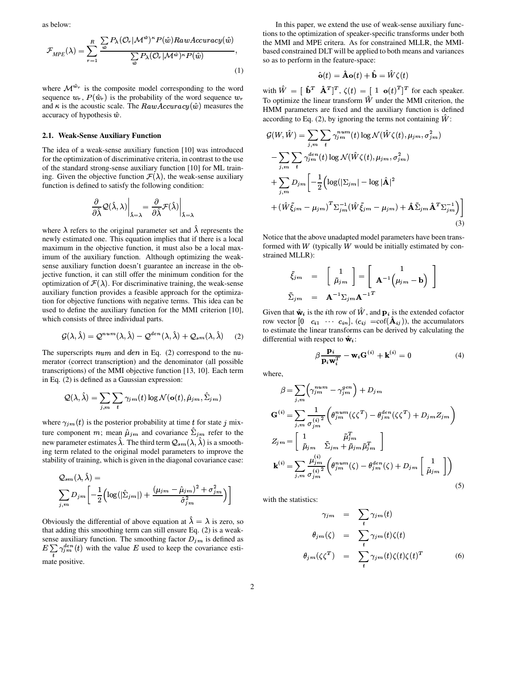as below:

$$
\mathcal{F}_{MPE}(\lambda) = \sum_{r=1}^{R} \frac{\sum_{\hat{w}} P_{\lambda}(\mathcal{O}_r | \mathcal{M}^{\hat{w}})^{\kappa} P(\hat{w}) RawAccuracy(\hat{w})}{\sum_{\hat{w}} P_{\lambda}(\mathcal{O}_r | \mathcal{M}^{\hat{w}})^{\kappa} P(\hat{w})},
$$
\n(1)

where  $\mathcal{M}^{w_r}$  is the composite mo is the composite model corresponding to the word sequence  $w_r$ ,  $P(\hat{w}_r)$  is the probability of the word sequence  $w_r$ and  $\kappa$  is the acoustic scale. The  $RawAccuracy(\hat{w})$  measures the accuracy of hypothesis  $\hat{w}$ .

#### **2.1. Weak-Sense Auxiliary Function**

The idea of a weak-sense auxiliary function [10] was introduced for the optimization of discriminative criteria, in contrast to the use of the standard strong-sense auxiliary function [10] for ML training. Given the objective function  $\mathcal{F}(\lambda)$ , the weak-sense auxiliary function is defined to satisfy the following condition:

$$
\left.\frac{\partial}{\partial\hat{\lambda}}\mathcal{Q}(\hat{\lambda},\lambda)\right|_{\hat{\lambda}=\lambda}=\left.\frac{\partial}{\partial\hat{\lambda}}\mathcal{F}(\hat{\lambda})\right|_{\hat{\lambda}=\lambda}
$$

where  $\lambda$  refers to the original parameter set and  $\lambda$  represents the newly estimated one. This equation implies that if there is a local maximum in the objective function, it must also be a local maximum of the auxiliary function. Although optimizing the weaksense auxiliary function doesn't guarantee an increase in the objective function, it can still offer the minimum condition for the optimization of  $\mathcal{F}(\lambda)$ . For discriminative training, the weak-sense auxiliary function provides a feasible approach for the optimization for objective functions with negative terms. This idea can be used to define the auxiliary function for the MMI criterion [10], which consists of three individual parts.

$$
\mathcal{G}(\lambda,\hat{\lambda}) = \mathcal{Q}^{num}(\lambda,\hat{\lambda}) - \mathcal{Q}^{den}(\lambda,\hat{\lambda}) + \mathcal{Q}_{sm}(\lambda,\hat{\lambda}) \quad (2)
$$

The superscripts  $num$  and  $den$  in Eq. (2) correspond to the numerator (correct transcription) and the denominator (all possible transcriptions) of the MMI objective function [13, 10]. Each term in Eq. (2) is defined as a Gaussian expression:

$$
\mathcal{Q}(\lambda, \hat{\lambda}) = \sum_{j,m} \sum_{t} \gamma_{jm}(t) \log \mathcal{N}(\mathbf{o}(t), \hat{\mu}_{jm}, \hat{\Sigma}_{jm})
$$

where  $\gamma_{jm}(t)$  is the posterior probability at time t for state j mixwhere  $\gamma_{jm}(t)$  is the posterior probability at time t for state j mixture component m; mean  $\hat{\mu}_{jm}$  and covariance  $\hat{\Sigma}_{jm}$  refer to the new parameter estimates  $\lambda$ . The third term  $Q_{sm}(\lambda, \lambda)$  is a smooth-<br>ing term related to the original model parameters to improve the ing term related to the original model parameters to improve the stability of training, which is given in the diagonal covariance case:

$$
Q_{sm}(\lambda, \lambda) =
$$
  

$$
\sum_{j,m} D_{jm} \left[ -\frac{1}{2} \left( \log(|\hat{\Sigma}_{jm}|) + \frac{(\mu_{jm} - \hat{\mu}_{jm})^2 + \sigma_{jm}^2}{\hat{\sigma}_{jm}^2} \right) \right]
$$

Obviously the differential of above equation at  $\lambda = \lambda$  is zero, so that adding this smoothing term can still ensure Eq. (2) is a weaksense auxiliary function. The smoothing factor  $D_{jm}$  is defined as  $\binom{en}{m}(t)$  with the value E used to keep the covariance estimate positive.

 $cy(w)$  the MMI and MPE critera. As for constrained MLLR, the MMI-In this paper, we extend the use of weak-sense auxiliary functions to the optimization of speaker-specific transforms under both based constrained DLT will be applied to both means and variances so as to perform in the feature-space:

$$
\hat{\mathbf{o}}(t) = \hat{\mathbf{A}} \mathbf{o}(t) + \mathbf{b} = W \zeta(t)
$$

with  $W = [\mathbf{b}^T \ \mathbf{A}^T]^T$ ,  $\zeta(t) = [\mathbf{1} \ \mathbf{o}(t)^T]^T$  for each speaker.<br>To optimize the linear transform  $\hat{W}$  under the MMI criterion, the To optimize the linear transform  $\hat{W}$  under the MMI criterion, the HMM parameters are fixed and the auxiliary function is defined according to Eq.  $(2)$ , by ignoring the terms not containing  $W$ :

$$
\mathcal{G}(W,\hat{W}) = \sum_{j,m} \sum_{t} \gamma_{jm}^{num}(t) \log \mathcal{N}(\hat{W}\zeta(t), \mu_{jm}, \sigma_{jm}^2)
$$

$$
- \sum_{j,m} \sum_{t} \gamma_{jm}^{den}(t) \log \mathcal{N}(\hat{W}\zeta(t), \mu_{jm}, \sigma_{jm}^2)
$$

$$
+ \sum_{j,m} D_{jm} \left[ -\frac{1}{2} \left( \log(|\Sigma_{jm}| - \log|\hat{\mathbf{A}}|^2 + (\hat{W}\tilde{\xi}_{jm} - \mu_{jm})^T \Sigma_{jm}^{-1} (\hat{W}\tilde{\xi}_{jm} - \mu_{jm}) + \hat{\mathbf{A}} \tilde{\Sigma}_{jm} \hat{\mathbf{A}}^T \Sigma_{jm}^{-1} \right) \right]
$$
(3)

Notice that the above unadapted model parameters have been transformed with  $W$  (typically  $W$  would be initially estimated by constrained MLLR):

$$
\tilde{\xi}_{jm} = \begin{bmatrix} 1 \\ \tilde{\mu}_{jm} \end{bmatrix} = \begin{bmatrix} 1 \\ \mathbf{A}^{-1} (\mu_{jm} - \mathbf{b}) \end{bmatrix}
$$

$$
\tilde{\Sigma}_{jm} = \mathbf{A}^{-1} \Sigma_{jm} \mathbf{A}^{-1}^{T}
$$

Given that  $\hat{\mathbf{w}}_i$  is the *i*th row of W, and  $\mathbf{p}_i$  is the extended cofactor Given that  $\hat{\mathbf{w}}_i$  is the *i*th row of  $\hat{W}$ , and  $\mathbf{p}_i$  is the extended cofactor row vector  $[0 \quad c_{i1} \quad \cdots \quad c_{in}], (c_{ij} = \text{cof}(\hat{\mathbf{A}}_{ij}))$ , the accumulators to estimate the linear transforms can be derived by calculating the differential with respect to  $\hat{\mathbf{w}}_i$ :

$$
\beta \frac{\mathbf{p}_i}{\mathbf{p}_i \mathbf{w}_i^T} - \mathbf{w}_i \mathbf{G}^{(i)} + \mathbf{k}^{(i)} = 0
$$
 (4)

where,

$$
\beta = \sum_{j,m} \left( \gamma_{jm}^{num} - \gamma_{jm}^{gen} \right) + D_{jm}
$$
  
\n
$$
\mathbf{G}^{(i)} = \sum_{j,m} \frac{1}{\sigma_{jm}^{(i)2}} \left( \theta_{jm}^{num} (\zeta \zeta^T) - \theta_{jm}^{den} (\zeta \zeta^T) + D_{jm} Z_{jm} \right)
$$
  
\n
$$
Z_{jm} = \begin{bmatrix} 1 & \tilde{\mu}_{jm}^T \\ \tilde{\mu}_{jm} & \tilde{\Sigma}_{jm} + \tilde{\mu}_{jm} \tilde{\mu}_{jm}^T \end{bmatrix}
$$
  
\n
$$
\mathbf{k}^{(i)} = \sum_{j,m} \frac{\mu_{jm}^{(i)}}{\sigma_{jm}^{(i)2}} \left( \theta_{jm}^{num} (\zeta) - \theta_{jm}^{den} (\zeta) + D_{jm} \begin{bmatrix} 1 \\ \tilde{\mu}_{jm} \end{bmatrix} \right)
$$
  
\n(5)

with the statistics:

$$
\gamma_{jm} = \sum_{t} \gamma_{jm}(t)
$$
  
\n
$$
\theta_{jm}(\zeta) = \sum_{t} \gamma_{jm}(t) \zeta(t)
$$
  
\n
$$
\theta_{jm}(\zeta \zeta^{T}) = \sum_{t} \gamma_{jm}(t) \zeta(t) \zeta(t)^{T}
$$
 (6)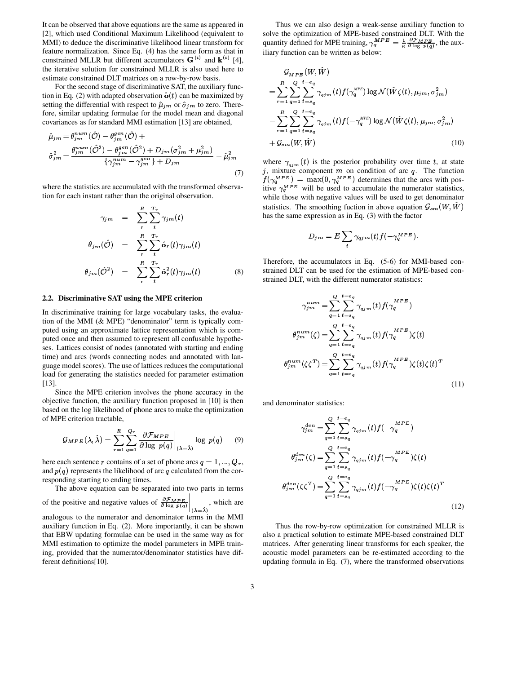It can be observed that above equations are the same as appeared in [2], which used Conditional Maximum Likelihood (equivalent to MMI) to deduce the discriminative likelihood linear transform for feature normalization. Since Eq. (4) has the same form as that in constrained MLLR but different accumulators  $G^{(i)}$  and  $k^{(i)}$  [4], the iterative solution for constrained MLLR is also used here to estimate constrained DLT matrices on a row-by-row basis.

For the second stage of discriminative SAT, the auxiliary function in Eq. (2) with adapted observation  $\hat{\mathbf{o}}(t)$  can be maximized by setting the differential with respect to  $\hat{\mu}_{jm}$  or  $\hat{\sigma}_{jm}$  to zero. Theresetting the differential with respect to  $\hat{\mu}_{jm}$  or  $\hat{\sigma}_{jm}$  to fore, similar updating formulae for the model mean and diagonal covariances as for standard MMI estimation [13] are obtained,<br>  $\hat{\mu}_{im} = \theta_{im}^{num}(\hat{\mathcal{O}}) - \theta_{im}^{gen}(\hat{\mathcal{O}}) +$ 

$$
\hat{\mu}_{jm} = \theta_{jm}^{num}(\hat{\mathcal{O}}) - \theta_{jm}^{gen}(\hat{\mathcal{O}}) + \hat{\sigma}_{jm}^{2} = \frac{\theta_{jm}^{num}(\hat{\mathcal{O}}^{2}) - \theta_{jm}^{gen}(\hat{\mathcal{O}}^{2}) + D_{jm}(\sigma_{jm}^{2} + \mu_{jm}^{2})}{\{\gamma_{jm}^{num} - \gamma_{jm}^{gen}\} + D_{jm}} - \hat{\mu}_{jm}^{2}
$$
\nwhere\n
$$
\hat{\sigma}_{j}^{2} = \frac{\theta_{j}^{num}(\hat{\mathcal{O}}^{2}) - \theta_{jm}^{gen}(\hat{\mathcal{O}}^{2}) + D_{jm}(\sigma_{jm}^{2} + \mu_{jm}^{2})}{\{\gamma_{jm}^{num} - \gamma_{jm}^{gen}\} + D_{jm}} - \hat{\mu}_{jm}^{2}
$$
\nwhere\n
$$
\hat{\sigma}_{j}^{2} = \frac{\hat{\sigma}_{j}^{num}(\hat{\mathcal{O}}^{2}) - \hat{\sigma}_{j}^{gen}(\hat{\mathcal{O}}^{2}) + D_{jm}(\sigma_{jm}^{2} + \mu_{jm}^{2})}{\{\gamma_{jm}^{num} - \gamma_{jm}^{gen}\} + D_{jm}}
$$
\nwhere\n
$$
\hat{\sigma}_{j}^{2} = \frac{\hat{\sigma}_{j}^{2} + \hat{\sigma}_{j}^{2}}{\{\gamma_{jm}^{num} - \gamma_{jm}^{gen}\} + D_{jm}}
$$

where the statistics are accumulated with the transformed observation for each instant rather than the original observation.

$$
\gamma_{jm} = \sum_{r}^{R} \sum_{t}^{T_{r}} \gamma_{jm}(t)
$$

$$
\theta_{jm}(\hat{\mathcal{O}}) = \sum_{r}^{R} \sum_{t}^{T_{r}} \hat{\mathbf{o}}_{r}(t) \gamma_{jm}(t)
$$

$$
\theta_{jm}(\hat{\mathcal{O}}^{2}) = \sum_{r}^{R} \sum_{t}^{T_{r}} \hat{\mathbf{o}}_{r}^{2}(t) \gamma_{jm}(t) \qquad (8)
$$

### **2.2. Discriminative SAT using the MPE criterion**

In discriminative training for large vocabulary tasks, the evaluation of the MMI (& MPE) "denominator" term is typically computed using an approximate lattice representation which is computed once and then assumed to represent all confusable hypotheses. Lattices consist of nodes (annotated with starting and ending time) and arcs (words connecting nodes and annotated with language model scores). The use of lattices reduces the computational load for generating the statistics needed for parameter estimation [13].

Since the MPE criterion involves the phone accuracy in the objective function, the auxiliary function proposed in [10] is then based on the log likelihood of phone arcs to make the optimization of MPE criterion tractable,

$$
\mathcal{G}_{MPE}(\lambda, \hat{\lambda}) = \sum_{r=1}^{R} \sum_{q=1}^{Q_r} \frac{\partial \mathcal{F}_{MPE}}{\partial \log p(q)} \bigg|_{(\lambda = \hat{\lambda})} \log p(q) \qquad (9)
$$

here each sentence r contains of a set of phone arcs  $q = 1, ..., Q_r$ , and  $p(q)$  represents the likelihood of arc q calculated from the corresponding starting to ending times.

The above equation can be separated into two parts in terms

of the positive and negative values of  $\frac{\partial \mathcal{F}_{MPE}}{\partial \log p(q)}\Big|_{(x=3)}$ , w , which as analogous to the numerator and denominator terms in the MMI , which are auxiliary function in Eq. (2). More importantly, it can be shown that EBW updating formulae can be used in the same way as for MMI estimation to optimize the model parameters in MPE training, provided that the numerator/denominator statistics have different definitions[10].

Thus we can also design a weak-sense auxiliary function to solve the optimization of MPE-based constrained DLT. With the solve the optimization of MPE-based constrained DLT. With the quantity defined for MPE training,  $\gamma_q^{MPE} = \frac{1}{\kappa} \frac{\partial \mathcal{F}_{MPE}}{\partial \log p(q)}$ , the auxiliary function can be written as below:  $\frac{1}{1}$ , the auxiliary function can be written as below:

$$
G_{MPE}(W, \hat{W})
$$
  
= 
$$
\sum_{r=1}^{R} \sum_{q=1}^{Q} \sum_{t=s_q}^{t=e_q} \gamma_{qjm}(t) f(\gamma_q^{MPE}) \log \mathcal{N}(\hat{W}\zeta(t), \mu_{jm}, \sigma_{jm}^2)
$$
  
- 
$$
\sum_{r=1}^{R} \sum_{q=1}^{Q} \sum_{t=s_q}^{t=e_q} \gamma_{qjm}(t) f(-\gamma_q^{MPE}) \log \mathcal{N}(\hat{W}\zeta(t), \mu_{jm}, \sigma_{jm}^2)
$$
  
+ 
$$
\mathcal{G}_{sm}(W, \hat{W})
$$
 (10)

where  $\gamma_{qjm}(t)$  is the posterior probability over time t, at state j, mixture component m on condition of arc  $q$ . The function j, mixture component m on condition of arc q. The function  $f(\gamma_d^{MPE}) = \max(0, \gamma_d^{MPE})$  determines that the arcs with pos-<br>itive  $\gamma_d^{MPE}$  will be used to accumulate the numerator statistics, while those with negative values will be used to get denominator statistics. The smoothing fuction in above equation  $\mathcal{G}_{sm}(W, W)$  $(W)$ has the same expression as in Eq. (3) with the factor

$$
D_{jm} = E \sum_{t} \gamma_{qjm}(t) f(-\gamma_q^{MPE}).
$$

Therefore, the accumulators in Eq. (5-6) for MMI-based constrained DLT can be used for the estimation of MPE-based constrained DLT, with the different numerator statistics:

$$
\gamma_{jm}^{num} = \sum_{q=1}^{Q} \sum_{t=e_q}^{t=e_q} \gamma_{qjm}(t) f(\gamma_q^{MPE})
$$
  

$$
\theta_{jm}^{num}(\zeta) = \sum_{q=1}^{Q} \sum_{t=e_q}^{t=e_q} \gamma_{qjm}(t) f(\gamma_q^{MPE}) \zeta(t)
$$
  

$$
\theta_{jm}^{num}(\zeta \zeta^T) = \sum_{q=1}^{Q} \sum_{t=e_q}^{t=e_q} \gamma_{qjm}(t) f(\gamma_q^{MPE}) \zeta(t) \zeta(t)^T
$$
  
(11)

and denominator statistics:

$$
\gamma_{jm}^{den} = \sum_{q=1}^{Q} \sum_{t=s_q}^{t=e_q} \gamma_{qjm}(t) f(-\gamma_q^{MPE})
$$

$$
\theta_{jm}^{den}(\zeta) = \sum_{q=1}^{Q} \sum_{t=s_q}^{t=e_q} \gamma_{qjm}(t) f(-\gamma_q^{MPE}) \zeta(t)
$$

$$
\theta_{jm}^{den}(\zeta \zeta^T) = \sum_{q=1}^{Q} \sum_{t=s_q}^{t=e_q} \gamma_{qjm}(t) f(-\gamma_q^{MPE}) \zeta(t) \zeta(t)^T
$$
(12)

Thus the row-by-row optimization for constrained MLLR is also a practical solution to estimate MPE-based constrained DLT matrices. After generating linear transforms for each speaker, the acoustic model parameters can be re-estimated according to the updating formula in Eq. (7), where the transformed observations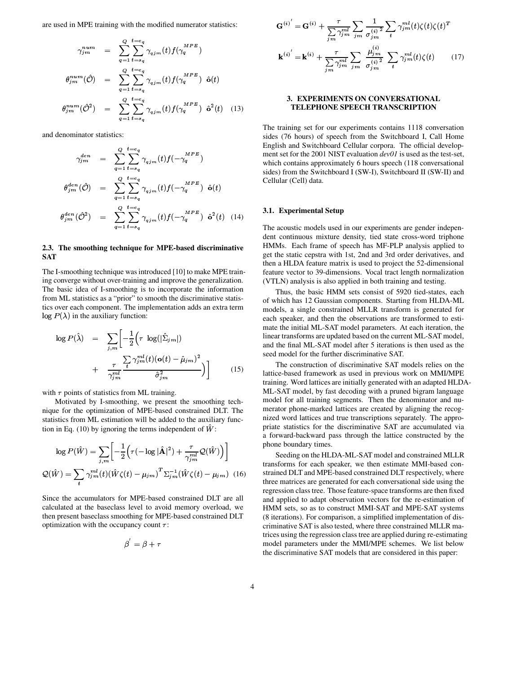are used in MPE training with the modified numerator statistics:

$$
\gamma_{jm}^{num} = \sum_{q=1}^{Q} \sum_{t=s_q}^{t=e_q} \gamma_{qjm}(t) f(\gamma_q^{MPE})
$$

$$
\theta_{jm}^{num}(\hat{\mathcal{O}}) = \sum_{q=1}^{Q} \sum_{t=s_q}^{t=e_q} \gamma_{qjm}(t) f(\gamma_q^{MPE}) \hat{\mathbf{o}}(t)
$$

$$
\theta_{jm}^{num}(\hat{\mathcal{O}}^2) = \sum_{q=1}^{Q} \sum_{t=s_q}^{t=e_q} \gamma_{qjm}(t) f(\gamma_q^{MPE}) \hat{\mathbf{o}}^2(t) \quad (13)
$$

and denominator statistics:

$$
\gamma_{jm}^{den} = \sum_{q=1}^{Q} \sum_{t=s_q}^{t=e_q} \gamma_{qjm}(t) f(-\gamma_q^{MPE})
$$

$$
\theta_{jm}^{den}(\hat{\mathcal{O}}) = \sum_{q=1}^{Q} \sum_{t=s_q}^{t=e_q} \gamma_{qjm}(t) f(-\gamma_q^{MPE}) \hat{\mathbf{o}}(t)
$$

$$
\theta_{jm}^{den}(\hat{\mathcal{O}}^2) = \sum_{q=1}^{Q} \sum_{t=s_q}^{t=e_q} \gamma_{qjm}(t) f(-\gamma_q^{MPE}) \hat{\mathbf{o}}^2(t) \quad (14)
$$

### 2.3. The smoothing technique for MPE-based discriminative **SAT**

The I-smoothing technique was introduced [10] to make MPE training converge without over-training and improve the generalization. The basic idea of I-smoothing is to incorporate the information from ML statistics as a "prior" to smooth the discriminative statistics over each component. The implementation adds an extra term  $\log P(\lambda)$  in the auxiliary function:

$$
\log P(\hat{\lambda}) = \sum_{j,m} \left[ -\frac{1}{2} \left( \tau \log(|\hat{\Sigma}_{j,m}|) \right) + \frac{\tau}{\gamma_{jm}^{ml}} \frac{\sum_{j,m} \gamma_{jm}^{ml}(t) (\mathbf{o}(t) - \hat{\mu}_{jm})^2}{\hat{\sigma}_{jm}^2} \right]
$$
(15)

with  $\tau$  points of statistics from ML training.

Motivated by I-smoothing, we present the smoothing technique for the optimization of MPE-based constrained DLT. The statistics from ML estimation will be added to the auxiliary function in Eq. (10) by ignoring the terms independent of  $\hat{W}$ :

$$
\log P(\hat{W}) = \sum_{j,m} \left[ -\frac{1}{2} \left( \tau \left( -\log |\hat{\mathbf{A}}|^2 \right) + \frac{\tau}{\gamma_{jm}^{ml}} \mathcal{Q}(\hat{W}) \right) \right]
$$

$$
\mathcal{Q}(\hat{W}) = \sum_{t} \gamma_{jm}^{ml}(t) \left( \hat{W}\zeta(t) - \mu_{jm} \right)^T \Sigma_{jm}^{-1} (\hat{W}\zeta(t) - \mu_{jm}) \tag{16}
$$

Since the accumulators for MPE-based constrained DLT are all calculated at the baseclass level to avoid memory overload, we then present baseclass smoothing for MPE-based constrained DLT optimization with the occupancy count  $\tau$ :

$$
\beta = \beta + \tau
$$

$$
\mathbf{G}^{(i)}' = \mathbf{G}^{(i)} + \frac{\tau}{\sum_{jm} \gamma_{jm}^{ml}} \sum_{jm} \frac{1}{\sigma_{jm}^{(i)}}^2 \sum_{t} \gamma_{jm}^{ml}(t) \zeta(t) \zeta(t)^T
$$

$$
\mathbf{k}^{(i)}' = \mathbf{k}^{(i)} + \frac{\tau}{\sum_{im} \gamma_{jm}^{ml}} \sum_{jm} \frac{\mu_{jm}^{(i)}}{\sigma_{jm}^{(i)}}^2 \sum_{t} \gamma_{jm}^{ml}(t) \zeta(t) \qquad (17)
$$

### 3. EXPERIMENTS ON CONVERSATIONAL TELEPHONE SPEECH TRANSCRIPTION

The training set for our experiments contains 1118 conversation sides (76 hours) of speech from the Switchboard I, Call Home English and Switchboard Cellular corpora. The official development set for the 2001 NIST evaluation dev01 is used as the test-set, which contains approximately 6 hours speech (118 conversational sides) from the Switchboard I (SW-I), Switchboard II (SW-II) and Cellular (Cell) data.

#### 3.1. Experimental Setup

The acoustic models used in our experiments are gender independent continuous mixture density, tied state cross-word triphone HMMs. Each frame of speech has MF-PLP analysis applied to get the static cepstra with 1st, 2nd and 3rd order derivatives, and then a HLDA feature matrix is used to project the 52-dimensional feature vector to 39-dimensions. Vocal tract length normalization (VTLN) analysis is also applied in both training and testing.

Thus, the basic HMM sets consist of 5920 tied-states, each of which has 12 Gaussian components. Starting from HLDA-ML models, a single constrained MLLR transform is generated for each speaker, and then the observations are transformed to estimate the initial ML-SAT model parameters. At each iteration, the linear transforms are updated based on the current ML-SAT model, and the final ML-SAT model after 5 iterations is then used as the seed model for the further discriminative SAT.

The construction of discriminative SAT models relies on the lattice-based framework as used in previous work on MMI/MPE training. Word lattices are initially generated with an adapted HLDA-ML-SAT model, by fast decoding with a pruned bigram language model for all training segments. Then the denominator and numerator phone-marked lattices are created by aligning the recognized word lattices and true transcriptions separately. The appropriate statistics for the discriminative SAT are accumulated via a forward-backward pass through the lattice constructed by the phone boundary times.

Seeding on the HLDA-ML-SAT model and constrained MLLR transforms for each speaker, we then estimate MMI-based constrained DLT and MPE-based constrained DLT respectively, where three matrices are generated for each conversational side using the regression class tree. Those feature-space transforms are then fixed and applied to adapt observation vectors for the re-estimation of HMM sets, so as to construct MMI-SAT and MPE-SAT systems (8 iterations). For comparison, a simplified implementation of discriminative SAT is also tested, where three constrained MLLR matrices using the regression class tree are applied during re-estimating model parameters under the MMI/MPE schemes. We list below the discriminative SAT models that are considered in this paper: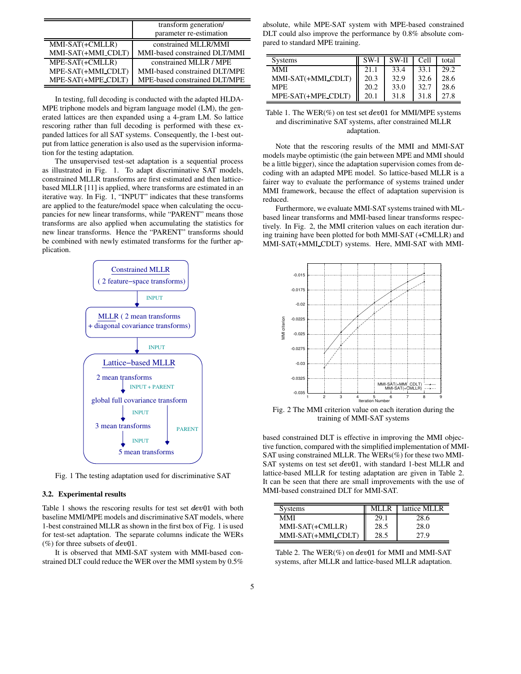|                    | transform generation/<br>parameter re-estimation |
|--------------------|--------------------------------------------------|
| MMI-SAT(+CMLLR)    | constrained MLLR/MMI                             |
| MMI-SAT(+MMI_CDLT) | MMI-based constrained DLT/MMI                    |
| MPE-SAT(+CMLLR)    | constrained MLLR / MPE                           |
| MPE-SAT(+MMI_CDLT) | MMI-based constrained DLT/MPE                    |
| MPE-SAT(+MPE_CDLT) | MPE-based constrained DLT/MPE                    |

In testing, full decoding is conducted with the adapted HLDA-MPE triphone models and bigram language model (LM), the generated lattices are then expanded using a 4-gram LM. So lattice rescoring rather than full decoding is performed with these expanded lattices for all SAT systems. Consequently, the 1-best output from lattice generation is also used as the supervision information for the testing adaptation.

The unsupervised test-set adaptation is a sequential process as illustrated in Fig. 1. To adapt discriminative SAT models, constrained MLLR transforms are first estimated and then latticebased MLLR [11] is applied, where transforms are estimated in an iterative way. In Fig. 1, "INPUT" indicates that these transforms are applied to the feature/model space when calculating the occupancies for new linear transforms, while "PARENT" means those transforms are also applied when accumulating the statistics for new linear transforms. Hence the "PARENT" transforms should be combined with newly estimated transforms for the further application.



Fig. 1 The testing adaptation used for discriminative SAT

#### **3.2. Experimental results**

Table 1 shows the rescoring results for test set  $dev01$  with both baseline MMI/MPE models and discriminative SAT models, where 1-best constrained MLLR as shown in the first box of Fig. 1 is used for test-set adaptation. The separate columns indicate the WERs (%) for three subsets of  $dev01$ .

It is observed that MMI-SAT system with MMI-based constrained DLT could reduce the WER over the MMI system by 0.5%

absolute, while MPE-SAT system with MPE-based constrained DLT could also improve the performance by 0.8% absolute compared to standard MPE training.

| Systems            | SW-I | SW-II | Cell | total |
|--------------------|------|-------|------|-------|
| MMI                | 21.1 | 33.4  | 33.1 | 29.2  |
| MMI-SAT(+MMI_CDLT) | 20.3 | 32.9  | 32.6 | 28.6  |
| <b>MPE</b>         | 20.2 | 33.0  | 32.7 | 28.6  |
| MPE-SAT(+MPE_CDLT) | 20.1 | 31.8  | 31.8 |       |

Table 1. The WER(%) on test set  $dev01$  for MMI/MPE systems \_ and discriminative SAT systems, after constrained MLLR adaptation.

Note that the rescoring results of the MMI and MMI-SAT models maybe optimistic (the gain between MPE and MMI should be a little bigger), since the adaptation supervision comes from decoding with an adapted MPE model. So lattice-based MLLR is a fairer way to evaluate the performance of systems trained under MMI framework, because the effect of adaptation supervision is reduced.

Furthermore, we evaluate MMI-SAT systems trained with MLbased linear transforms and MMI-based linear transforms respectively. In Fig. 2, the MMI criterion values on each iteration during training have been plotted for both MMI-SAT (+CMLLR) and MMI-SAT(+MMI CDLT) systems. Here, MMI-SAT with MMI-



Fig. 2 The MMI criterion value on each iteration during the training of MMI-SAT systems

based constrained DLT is effective in improving the MMI objective function, compared with the simplified implementation of MMI-SAT using constrained MLLR. The WERs $(\%)$  for these two MMI-SAT systems on test set  $dev01$ , with standard 1-best MLLR and lattice-based MLLR for testing adaptation are given in Table 2. It can be seen that there are small improvements with the use of MMI-based constrained DLT for MMI-SAT.

| <b>Systems</b>     | MI J.R | lattice MLLR |
|--------------------|--------|--------------|
| MMI                | 29.1   | 28.6         |
| MMI-SAT(+CMLLR)    | 28.5   | 28.0         |
| MMI-SAT(+MMI_CDLT) | 28.5   | 27 Q         |

Table 2. The  $WER(\%)$  on  $dev01$  for MMI and MMI-SAT systems, after MLLR and lattice-based MLLR adaptation.